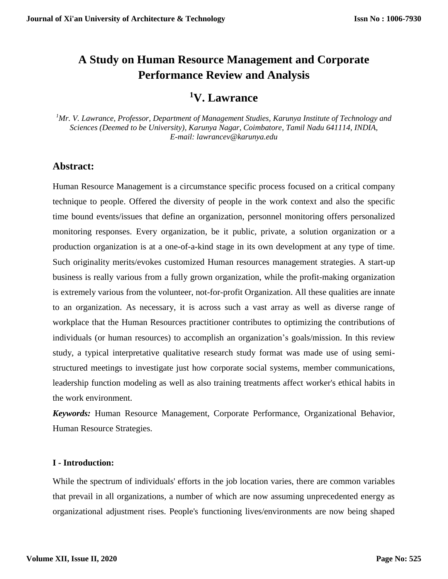# **A Study on Human Resource Management and Corporate Performance Review and Analysis**

## **<sup>1</sup>V. Lawrance**

*<sup>1</sup>Mr. V. Lawrance, Professor, Department of Management Studies, Karunya Institute of Technology and Sciences (Deemed to be University), Karunya Nagar, Coimbatore, Tamil Nadu 641114, INDIA, E-mail: lawrancev@karunya.edu*

### **Abstract:**

Human Resource Management is a circumstance specific process focused on a critical company technique to people. Offered the diversity of people in the work context and also the specific time bound events/issues that define an organization, personnel monitoring offers personalized monitoring responses. Every organization, be it public, private, a solution organization or a production organization is at a one-of-a-kind stage in its own development at any type of time. Such originality merits/evokes customized Human resources management strategies. A start-up business is really various from a fully grown organization, while the profit-making organization is extremely various from the volunteer, not-for-profit Organization. All these qualities are innate to an organization. As necessary, it is across such a vast array as well as diverse range of workplace that the Human Resources practitioner contributes to optimizing the contributions of individuals (or human resources) to accomplish an organization's goals/mission. In this review study, a typical interpretative qualitative research study format was made use of using semistructured meetings to investigate just how corporate social systems, member communications, leadership function modeling as well as also training treatments affect worker's ethical habits in the work environment.

*Keywords:* Human Resource Management, Corporate Performance, Organizational Behavior, Human Resource Strategies.

#### **I - Introduction:**

While the spectrum of individuals' efforts in the job location varies, there are common variables that prevail in all organizations, a number of which are now assuming unprecedented energy as organizational adjustment rises. People's functioning lives/environments are now being shaped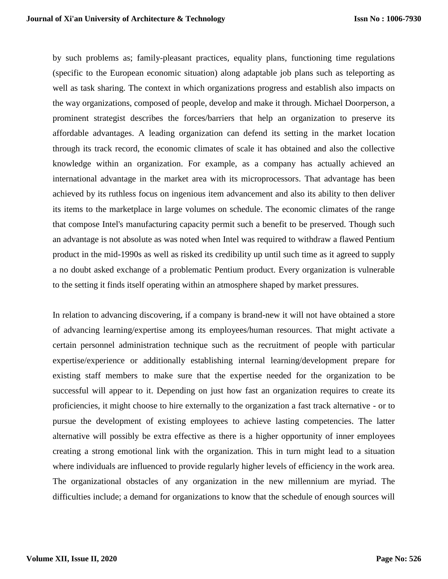by such problems as; family-pleasant practices, equality plans, functioning time regulations (specific to the European economic situation) along adaptable job plans such as teleporting as well as task sharing. The context in which organizations progress and establish also impacts on the way organizations, composed of people, develop and make it through. Michael Doorperson, a prominent strategist describes the forces/barriers that help an organization to preserve its affordable advantages. A leading organization can defend its setting in the market location through its track record, the economic climates of scale it has obtained and also the collective knowledge within an organization. For example, as a company has actually achieved an international advantage in the market area with its microprocessors. That advantage has been achieved by its ruthless focus on ingenious item advancement and also its ability to then deliver its items to the marketplace in large volumes on schedule. The economic climates of the range that compose Intel's manufacturing capacity permit such a benefit to be preserved. Though such an advantage is not absolute as was noted when Intel was required to withdraw a flawed Pentium product in the mid-1990s as well as risked its credibility up until such time as it agreed to supply a no doubt asked exchange of a problematic Pentium product. Every organization is vulnerable to the setting it finds itself operating within an atmosphere shaped by market pressures.

In relation to advancing discovering, if a company is brand-new it will not have obtained a store of advancing learning/expertise among its employees/human resources. That might activate a certain personnel administration technique such as the recruitment of people with particular expertise/experience or additionally establishing internal learning/development prepare for existing staff members to make sure that the expertise needed for the organization to be successful will appear to it. Depending on just how fast an organization requires to create its proficiencies, it might choose to hire externally to the organization a fast track alternative - or to pursue the development of existing employees to achieve lasting competencies. The latter alternative will possibly be extra effective as there is a higher opportunity of inner employees creating a strong emotional link with the organization. This in turn might lead to a situation where individuals are influenced to provide regularly higher levels of efficiency in the work area. The organizational obstacles of any organization in the new millennium are myriad. The difficulties include; a demand for organizations to know that the schedule of enough sources will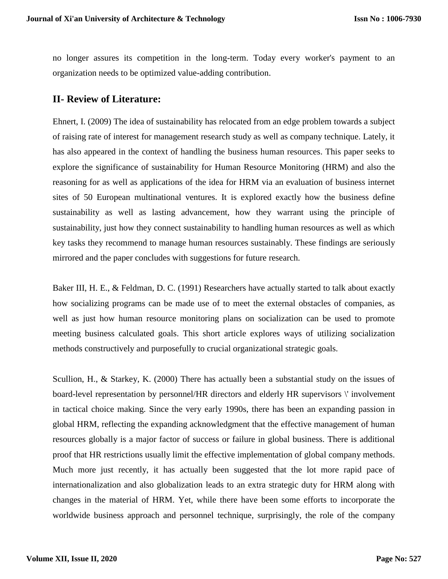no longer assures its competition in the long-term. Today every worker's payment to an organization needs to be optimized value-adding contribution.

#### **II- Review of Literature:**

Ehnert, I. (2009) The idea of sustainability has relocated from an edge problem towards a subject of raising rate of interest for management research study as well as company technique. Lately, it has also appeared in the context of handling the business human resources. This paper seeks to explore the significance of sustainability for Human Resource Monitoring (HRM) and also the reasoning for as well as applications of the idea for HRM via an evaluation of business internet sites of 50 European multinational ventures. It is explored exactly how the business define sustainability as well as lasting advancement, how they warrant using the principle of sustainability, just how they connect sustainability to handling human resources as well as which key tasks they recommend to manage human resources sustainably. These findings are seriously mirrored and the paper concludes with suggestions for future research.

Baker III, H. E., & Feldman, D. C. (1991) Researchers have actually started to talk about exactly how socializing programs can be made use of to meet the external obstacles of companies, as well as just how human resource monitoring plans on socialization can be used to promote meeting business calculated goals. This short article explores ways of utilizing socialization methods constructively and purposefully to crucial organizational strategic goals.

Scullion, H., & Starkey, K. (2000) There has actually been a substantial study on the issues of board-level representation by personnel/HR directors and elderly HR supervisors \' involvement in tactical choice making. Since the very early 1990s, there has been an expanding passion in global HRM, reflecting the expanding acknowledgment that the effective management of human resources globally is a major factor of success or failure in global business. There is additional proof that HR restrictions usually limit the effective implementation of global company methods. Much more just recently, it has actually been suggested that the lot more rapid pace of internationalization and also globalization leads to an extra strategic duty for HRM along with changes in the material of HRM. Yet, while there have been some efforts to incorporate the worldwide business approach and personnel technique, surprisingly, the role of the company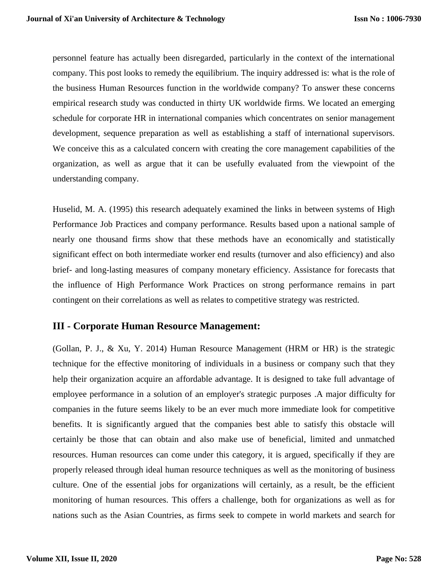personnel feature has actually been disregarded, particularly in the context of the international company. This post looks to remedy the equilibrium. The inquiry addressed is: what is the role of the business Human Resources function in the worldwide company? To answer these concerns empirical research study was conducted in thirty UK worldwide firms. We located an emerging schedule for corporate HR in international companies which concentrates on senior management development, sequence preparation as well as establishing a staff of international supervisors. We conceive this as a calculated concern with creating the core management capabilities of the organization, as well as argue that it can be usefully evaluated from the viewpoint of the understanding company.

Huselid, M. A. (1995) this research adequately examined the links in between systems of High Performance Job Practices and company performance. Results based upon a national sample of nearly one thousand firms show that these methods have an economically and statistically significant effect on both intermediate worker end results (turnover and also efficiency) and also brief- and long-lasting measures of company monetary efficiency. Assistance for forecasts that the influence of High Performance Work Practices on strong performance remains in part contingent on their correlations as well as relates to competitive strategy was restricted.

#### **III - Corporate Human Resource Management:**

(Gollan, P. J., & Xu, Y. 2014) Human Resource Management (HRM or HR) is the strategic technique for the effective monitoring of individuals in a business or company such that they help their organization acquire an affordable advantage. It is designed to take full advantage of employee performance in a solution of an employer's strategic purposes .A major difficulty for companies in the future seems likely to be an ever much more immediate look for competitive benefits. It is significantly argued that the companies best able to satisfy this obstacle will certainly be those that can obtain and also make use of beneficial, limited and unmatched resources. Human resources can come under this category, it is argued, specifically if they are properly released through ideal human resource techniques as well as the monitoring of business culture. One of the essential jobs for organizations will certainly, as a result, be the efficient monitoring of human resources. This offers a challenge, both for organizations as well as for nations such as the Asian Countries, as firms seek to compete in world markets and search for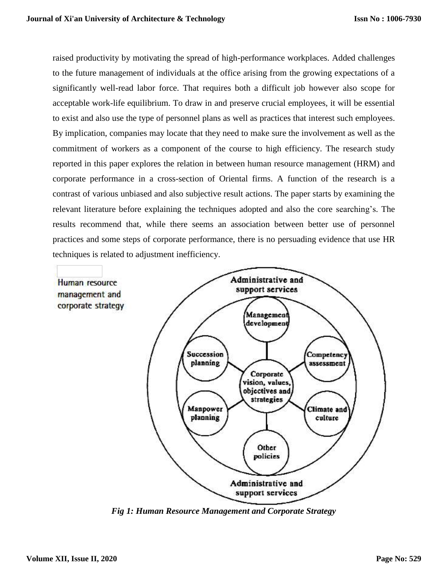raised productivity by motivating the spread of high-performance workplaces. Added challenges to the future management of individuals at the office arising from the growing expectations of a significantly well-read labor force. That requires both a difficult job however also scope for acceptable work-life equilibrium. To draw in and preserve crucial employees, it will be essential to exist and also use the type of personnel plans as well as practices that interest such employees. By implication, companies may locate that they need to make sure the involvement as well as the commitment of workers as a component of the course to high efficiency. The research study reported in this paper explores the relation in between human resource management (HRM) and corporate performance in a cross-section of Oriental firms. A function of the research is a contrast of various unbiased and also subjective result actions. The paper starts by examining the relevant literature before explaining the techniques adopted and also the core searching's. The results recommend that, while there seems an association between better use of personnel practices and some steps of corporate performance, there is no persuading evidence that use HR techniques is related to adjustment inefficiency.



*Fig 1: Human Resource Management and Corporate Strategy*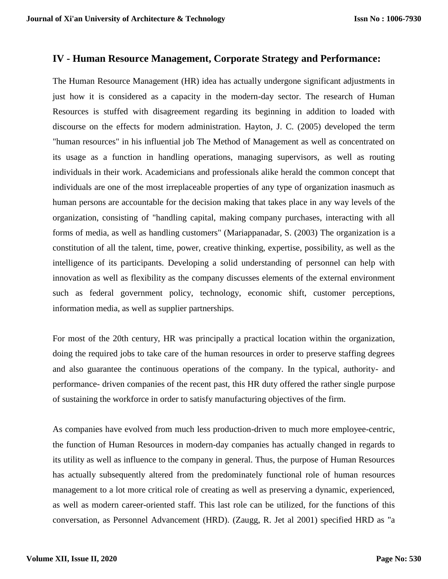#### **IV - Human Resource Management, Corporate Strategy and Performance:**

The Human Resource Management (HR) idea has actually undergone significant adjustments in just how it is considered as a capacity in the modern-day sector. The research of Human Resources is stuffed with disagreement regarding its beginning in addition to loaded with discourse on the effects for modern administration. Hayton, J. C. (2005) developed the term "human resources" in his influential job The Method of Management as well as concentrated on its usage as a function in handling operations, managing supervisors, as well as routing individuals in their work. Academicians and professionals alike herald the common concept that individuals are one of the most irreplaceable properties of any type of organization inasmuch as human persons are accountable for the decision making that takes place in any way levels of the organization, consisting of "handling capital, making company purchases, interacting with all forms of media, as well as handling customers" (Mariappanadar, S. (2003) The organization is a constitution of all the talent, time, power, creative thinking, expertise, possibility, as well as the intelligence of its participants. Developing a solid understanding of personnel can help with innovation as well as flexibility as the company discusses elements of the external environment such as federal government policy, technology, economic shift, customer perceptions, information media, as well as supplier partnerships.

For most of the 20th century, HR was principally a practical location within the organization, doing the required jobs to take care of the human resources in order to preserve staffing degrees and also guarantee the continuous operations of the company. In the typical, authority- and performance- driven companies of the recent past, this HR duty offered the rather single purpose of sustaining the workforce in order to satisfy manufacturing objectives of the firm.

As companies have evolved from much less production-driven to much more employee-centric, the function of Human Resources in modern-day companies has actually changed in regards to its utility as well as influence to the company in general. Thus, the purpose of Human Resources has actually subsequently altered from the predominately functional role of human resources management to a lot more critical role of creating as well as preserving a dynamic, experienced, as well as modern career-oriented staff. This last role can be utilized, for the functions of this conversation, as Personnel Advancement (HRD). (Zaugg, R. Jet al 2001) specified HRD as "a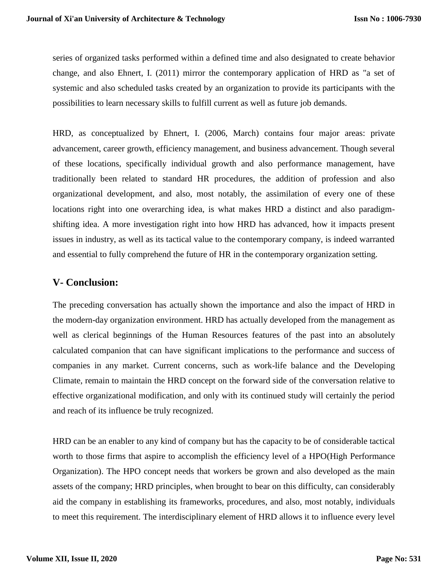series of organized tasks performed within a defined time and also designated to create behavior change, and also Ehnert, I. (2011) mirror the contemporary application of HRD as "a set of systemic and also scheduled tasks created by an organization to provide its participants with the possibilities to learn necessary skills to fulfill current as well as future job demands.

HRD, as conceptualized by Ehnert, I. (2006, March) contains four major areas: private advancement, career growth, efficiency management, and business advancement. Though several of these locations, specifically individual growth and also performance management, have traditionally been related to standard HR procedures, the addition of profession and also organizational development, and also, most notably, the assimilation of every one of these locations right into one overarching idea, is what makes HRD a distinct and also paradigmshifting idea. A more investigation right into how HRD has advanced, how it impacts present issues in industry, as well as its tactical value to the contemporary company, is indeed warranted and essential to fully comprehend the future of HR in the contemporary organization setting.

#### **V- Conclusion:**

The preceding conversation has actually shown the importance and also the impact of HRD in the modern-day organization environment. HRD has actually developed from the management as well as clerical beginnings of the Human Resources features of the past into an absolutely calculated companion that can have significant implications to the performance and success of companies in any market. Current concerns, such as work-life balance and the Developing Climate, remain to maintain the HRD concept on the forward side of the conversation relative to effective organizational modification, and only with its continued study will certainly the period and reach of its influence be truly recognized.

HRD can be an enabler to any kind of company but has the capacity to be of considerable tactical worth to those firms that aspire to accomplish the efficiency level of a HPO(High Performance Organization). The HPO concept needs that workers be grown and also developed as the main assets of the company; HRD principles, when brought to bear on this difficulty, can considerably aid the company in establishing its frameworks, procedures, and also, most notably, individuals to meet this requirement. The interdisciplinary element of HRD allows it to influence every level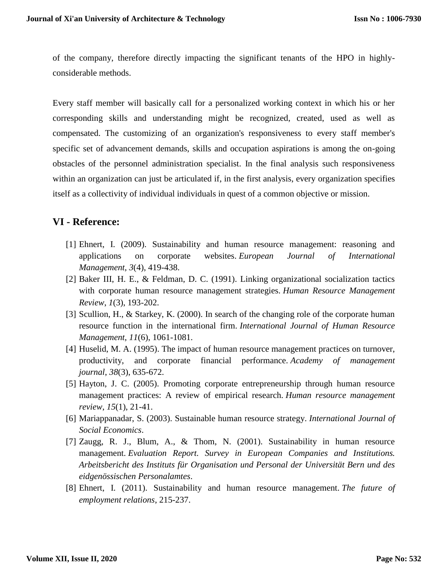of the company, therefore directly impacting the significant tenants of the HPO in highlyconsiderable methods.

Every staff member will basically call for a personalized working context in which his or her corresponding skills and understanding might be recognized, created, used as well as compensated. The customizing of an organization's responsiveness to every staff member's specific set of advancement demands, skills and occupation aspirations is among the on-going obstacles of the personnel administration specialist. In the final analysis such responsiveness within an organization can just be articulated if, in the first analysis, every organization specifies itself as a collectivity of individual individuals in quest of a common objective or mission.

## **VI - Reference:**

- [1] Ehnert, I. (2009). Sustainability and human resource management: reasoning and applications on corporate websites. *European Journal of International Management*, *3*(4), 419-438.
- [2] Baker III, H. E., & Feldman, D. C. (1991). Linking organizational socialization tactics with corporate human resource management strategies. *Human Resource Management Review*, *1*(3), 193-202.
- [3] Scullion, H., & Starkey, K. (2000). In search of the changing role of the corporate human resource function in the international firm. *International Journal of Human Resource Management*, *11*(6), 1061-1081.
- [4] Huselid, M. A. (1995). The impact of human resource management practices on turnover, productivity, and corporate financial performance. *Academy of management journal*, *38*(3), 635-672.
- [5] Hayton, J. C. (2005). Promoting corporate entrepreneurship through human resource management practices: A review of empirical research. *Human resource management review*, *15*(1), 21-41.
- [6] Mariappanadar, S. (2003). Sustainable human resource strategy. *International Journal of Social Economics*.
- [7] Zaugg, R. J., Blum, A., & Thom, N. (2001). Sustainability in human resource management. *Evaluation Report. Survey in European Companies and Institutions. Arbeitsbericht des Instituts für Organisation und Personal der Universität Bern und des eidgenössischen Personalamtes*.
- [8] Ehnert, I. (2011). Sustainability and human resource management. *The future of employment relations*, 215-237.